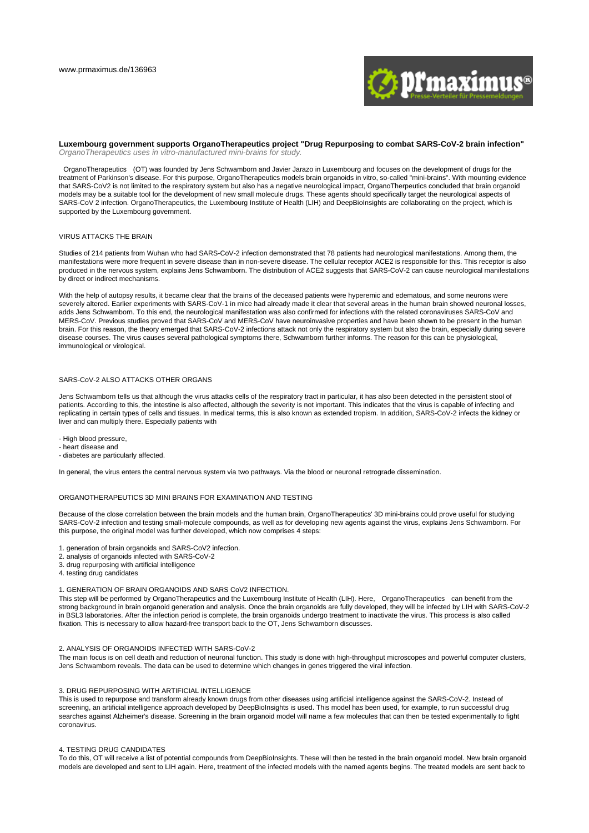

**Luxembourg government supports OrganoTherapeutics project "Drug Repurposing to combat SARS-CoV-2 brain infection"** OrganoTherapeutics uses in vitro-manufactured mini-brains for study.

OrganoTherapeutics (OT) was founded by Jens Schwamborn and Javier Jarazo in Luxembourg and focuses on the development of drugs for the treatment of Parkinson's disease. For this purpose, OrganoTherapeutics models brain organoids in vitro, so-called "mini-brains". With mounting evidence that SARS-CoV2 is not limited to the respiratory system but also has a negative neurological impact, OrganoTherpeutics concluded that brain organoid models may be a suitable tool for the development of new small molecule drugs. These agents should specifically target the neurological aspects of SARS-CoV 2 infection. OrganoTherapeutics, the Luxembourg Institute of Health (LIH) and DeepBioInsights are collaborating on the project, which is supported by the Luxembourg government.

#### VIRUS ATTACKS THE BRAIN

Studies of 214 patients from Wuhan who had SARS-CoV-2 infection demonstrated that 78 patients had neurological manifestations. Among them, the manifestations were more frequent in severe disease than in non-severe disease. The cellular receptor ACE2 is responsible for this. This receptor is also produced in the nervous system, explains Jens Schwamborn. The distribution of ACE2 suggests that SARS-CoV-2 can cause neurological manifestations by direct or indirect mechanisms.

With the help of autopsy results, it became clear that the brains of the deceased patients were hyperemic and edematous, and some neurons were severely altered. Earlier experiments with SARS-CoV-1 in mice had already made it clear that several areas in the human brain showed neuronal losses. adds Jens Schwamborn. To this end, the neurological manifestation was also confirmed for infections with the related coronaviruses SARS-CoV and MERS-CoV. Previous studies proved that SARS-CoV and MERS-CoV have neuroinvasive properties and have been shown to be present in the human brain. For this reason, the theory emerged that SARS-CoV-2 infections attack not only the respiratory system but also the brain, especially during severe disease courses. The virus causes several pathological symptoms there, Schwamborn further informs. The reason for this can be physiological, immunological or virological.

## SARS-CoV-2 ALSO ATTACKS OTHER ORGANS

Jens Schwamborn tells us that although the virus attacks cells of the respiratory tract in particular, it has also been detected in the persistent stool of patients. According to this, the intestine is also affected, although the severity is not important. This indicates that the virus is capable of infecting and replicating in certain types of cells and tissues. In medical terms, this is also known as extended tropism. In addition, SARS-CoV-2 infects the kidney or liver and can multiply there. Especially patients with

- High blood pressure,

- heart disease and - diabetes are particularly affected.

In general, the virus enters the central nervous system via two pathways. Via the blood or neuronal retrograde dissemination.

#### ORGANOTHERAPEUTICS 3D MINI BRAINS FOR EXAMINATION AND TESTING

Because of the close correlation between the brain models and the human brain, OrganoTherapeutics' 3D mini-brains could prove useful for studying SARS-CoV-2 infection and testing small-molecule compounds, as well as for developing new agents against the virus, explains Jens Schwamborn. For this purpose, the original model was further developed, which now comprises 4 steps:

- 1. generation of brain organoids and SARS-CoV2 infection.
- 2. analysis of organoids infected with SARS-CoV-2
- 3. drug repurposing with artificial intelligence
- 4. testing drug candidates

#### 1. GENERATION OF BRAIN ORGANOIDS AND SARS CoV2 INFECTION.

This step will be performed by OrganoTherapeutics and the Luxembourg Institute of Health (LIH). Here, OrganoTherapeutics can benefit from the strong background in brain organoid generation and analysis. Once the brain organoids are fully developed, they will be infected by LIH with SARS-CoV-2 in BSL3 laboratories. After the infection period is complete, the brain organoids undergo treatment to inactivate the virus. This process is also called fixation. This is necessary to allow hazard-free transport back to the OT, Jens Schwamborn discusses.

# 2. ANALYSIS OF ORGANOIDS INFECTED WITH SARS-CoV-2

The main focus is on cell death and reduction of neuronal function. This study is done with high-throughput microscopes and powerful computer clusters, Jens Schwamborn reveals. The data can be used to determine which changes in genes triggered the viral infection.

## 3. DRUG REPURPOSING WITH ARTIFICIAL INTELLIGENCE

This is used to repurpose and transform already known drugs from other diseases using artificial intelligence against the SARS-CoV-2. Instead of screening, an artificial intelligence approach developed by DeepBioInsights is used. This model has been used, for example, to run successful drug searches against Alzheimer's disease. Screening in the brain organoid model will name a few molecules that can then be tested experimentally to fight coronavirus.

#### 4. TESTING DRUG CANDIDATES

To do this, OT will receive a list of potential compounds from DeepBioInsights. These will then be tested in the brain organoid model. New brain organoid models are developed and sent to LIH again. Here, treatment of the infected models with the named agents begins. The treated models are sent back to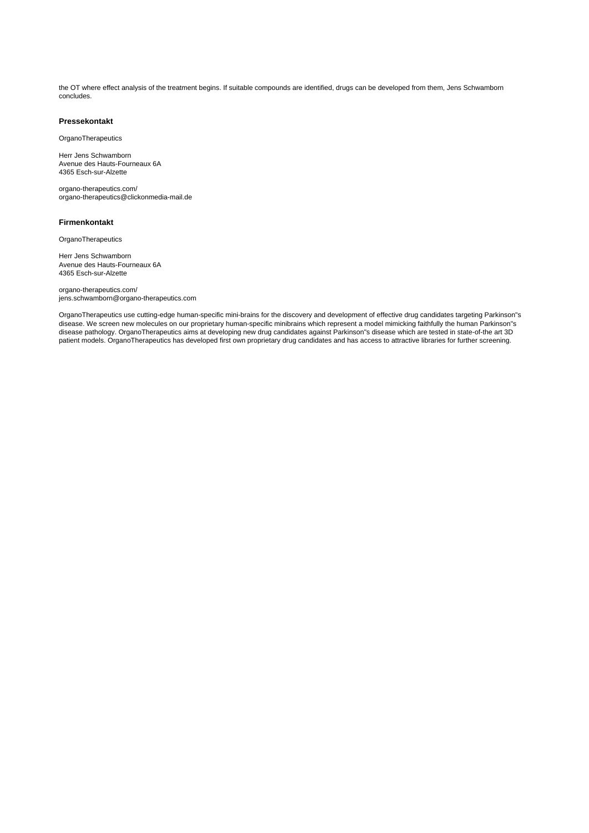the OT where effect analysis of the treatment begins. If suitable compounds are identified, drugs can be developed from them, Jens Schwamborn concludes.

# **Pressekontakt**

**OrganoTherapeutics** 

Herr Jens Schwamborn Avenue des Hauts-Fourneaux 6A 4365 Esch-sur-Alzette

organo-therapeutics.com/ organo-therapeutics@clickonmedia-mail.de

# **Firmenkontakt**

**OrganoTherapeutics** 

Herr Jens Schwamborn Avenue des Hauts-Fourneaux 6A 4365 Esch-sur-Alzette

organo-therapeutics.com/ jens.schwamborn@organo-therapeutics.com

OrganoTherapeutics use cutting-edge human-specific mini-brains for the discovery and development of effective drug candidates targeting Parkinson"s disease. We screen new molecules on our proprietary human-specific minibrains which represent a model mimicking faithfully the human Parkinson"s disease pathology. OrganoTherapeutics aims at developing new drug candidates against Parkinson"s disease which are tested in state-of-the art 3D patient models. OrganoTherapeutics has developed first own proprietary drug candidates and has access to attractive libraries for further screening.